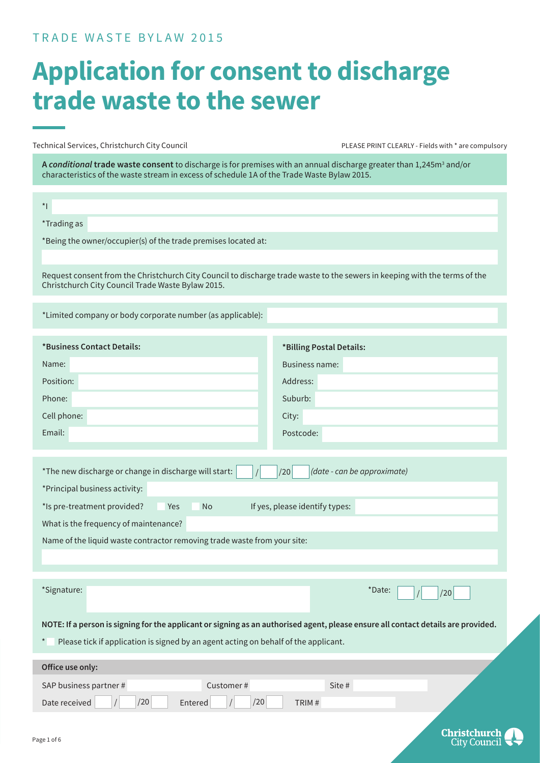#### TRADE WASTE BYLAW 2015

### **Application for consent to discharge trade waste to the sewer**

Technical Services, Christchurch City Council **PLEASE PRINT CLEARLY - Fields with \*** are compulsory

**A** *conditional* **trade waste consent** to discharge is for premises with an annual discharge greater than 1,245m<sup>3</sup> and/or characteristics of the waste stream in excess of schedule 1A of the Trade Waste Bylaw 2015.

| $\star$                                                                                                                                                                         |                          |  |  |
|---------------------------------------------------------------------------------------------------------------------------------------------------------------------------------|--------------------------|--|--|
| *Trading as                                                                                                                                                                     |                          |  |  |
| *Being the owner/occupier(s) of the trade premises located at:                                                                                                                  |                          |  |  |
|                                                                                                                                                                                 |                          |  |  |
| Request consent from the Christchurch City Council to discharge trade waste to the sewers in keeping with the terms of the<br>Christchurch City Council Trade Waste Bylaw 2015. |                          |  |  |
| *Limited company or body corporate number (as applicable):                                                                                                                      |                          |  |  |
| *Business Contact Details:                                                                                                                                                      | *Billing Postal Details: |  |  |
| Name:                                                                                                                                                                           | <b>Business name:</b>    |  |  |
| Position:                                                                                                                                                                       | Address:                 |  |  |
| Phone:                                                                                                                                                                          | Suburb:                  |  |  |
| Cell phone:                                                                                                                                                                     | City:                    |  |  |
| Email:                                                                                                                                                                          | Postcode:                |  |  |
|                                                                                                                                                                                 |                          |  |  |
| *The new discharge or change in discharge will start:<br>(date - can be approximate)<br>/20                                                                                     |                          |  |  |
| *Principal business activity:                                                                                                                                                   |                          |  |  |
| *Is pre-treatment provided?<br>If yes, please identify types:<br>Yes<br><b>No</b>                                                                                               |                          |  |  |
| What is the frequency of maintenance?                                                                                                                                           |                          |  |  |
| Name of the liquid waste contractor removing trade waste from your site:                                                                                                        |                          |  |  |
|                                                                                                                                                                                 |                          |  |  |
| *Signature:                                                                                                                                                                     | *Date:<br>/20            |  |  |
| NOTE: If a person is signing for the applicant or signing as an authorised agent, please ensure all contact details are provided.                                               |                          |  |  |
| Please tick if application is signed by an agent acting on behalf of the applicant.                                                                                             |                          |  |  |
| Office use only:                                                                                                                                                                |                          |  |  |
| SAP business partner #<br>Customer#                                                                                                                                             | Site #                   |  |  |
| /20<br>/20<br>$\overline{1}$<br>Date received<br>Entered                                                                                                                        | TRIM#                    |  |  |
|                                                                                                                                                                                 |                          |  |  |

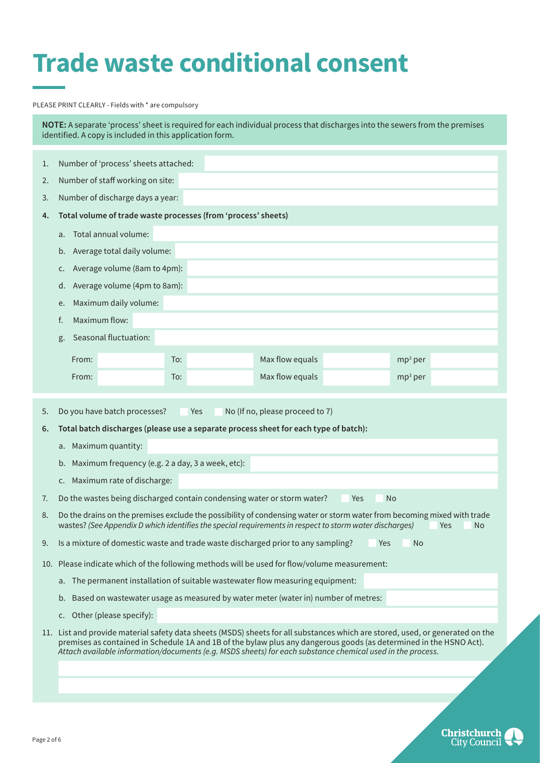### **Trade waste conditional consent**

#### PLEASE PRINT CLEARLY - Fields with \* are compulsory

**NOTE:** A separate 'process' sheet is required for each individual process that discharges into the sewers from the premises identified. A copy is included in this application form.

| 1. | Number of 'process' sheets attached:                                                                                                                                                                                                                   |
|----|--------------------------------------------------------------------------------------------------------------------------------------------------------------------------------------------------------------------------------------------------------|
| 2. | Number of staff working on site:                                                                                                                                                                                                                       |
| 3. | Number of discharge days a year:                                                                                                                                                                                                                       |
| 4. | Total volume of trade waste processes (from 'process' sheets)                                                                                                                                                                                          |
|    | Total annual volume:<br>a.                                                                                                                                                                                                                             |
|    | Average total daily volume:<br>b.                                                                                                                                                                                                                      |
|    | Average volume (8am to 4pm):<br>c.                                                                                                                                                                                                                     |
|    | Average volume (4pm to 8am):<br>d.                                                                                                                                                                                                                     |
|    | Maximum daily volume:<br>e.                                                                                                                                                                                                                            |
|    | Maximum flow:<br>f.                                                                                                                                                                                                                                    |
|    | Seasonal fluctuation:<br>g.                                                                                                                                                                                                                            |
|    | Max flow equals<br>From:<br>To:<br>$mp3$ per                                                                                                                                                                                                           |
|    | Max flow equals<br>$mp3$ per<br>From:<br>To:                                                                                                                                                                                                           |
|    |                                                                                                                                                                                                                                                        |
| 5. | Do you have batch processes?<br>No (If no, please proceed to 7)<br>Yes                                                                                                                                                                                 |
| 6. | Total batch discharges (please use a separate process sheet for each type of batch):                                                                                                                                                                   |
|    | a. Maximum quantity:                                                                                                                                                                                                                                   |
|    | b. Maximum frequency (e.g. 2 a day, 3 a week, etc):                                                                                                                                                                                                    |
|    | Maximum rate of discharge:<br>C.                                                                                                                                                                                                                       |
| 7. | Do the wastes being discharged contain condensing water or storm water?<br>Yes<br><b>No</b>                                                                                                                                                            |
| 8. | Do the drains on the premises exclude the possibility of condensing water or storm water from becoming mixed with trade<br>wastes? (See Appendix D which identifies the special requirements in respect to storm water discharges)<br>Yes<br><b>No</b> |
| 9. | Is a mixture of domestic waste and trade waste discharged prior to any sampling?<br>N <sub>o</sub><br>Yes                                                                                                                                              |
|    |                                                                                                                                                                                                                                                        |
|    | 10. Please indicate which of the following methods will be used for flow/volume measurement:                                                                                                                                                           |
|    | a. The permanent installation of suitable wastewater flow measuring equipment:                                                                                                                                                                         |
|    | b. Based on wastewater usage as measured by water meter (water in) number of metres:                                                                                                                                                                   |
|    | Other (please specify):<br>C.                                                                                                                                                                                                                          |
|    | 11. List and provide material safety data sheets (MSDS) sheets for all substances which are stored, used, or generated on the<br>premises as contained in Schedule 1A and 1B of the bylaw plus any dangerous goods (as determined in the HSNO Act).    |
|    | Attach available information/documents (e.g. MSDS sheets) for each substance chemical used in the process.                                                                                                                                             |
|    |                                                                                                                                                                                                                                                        |

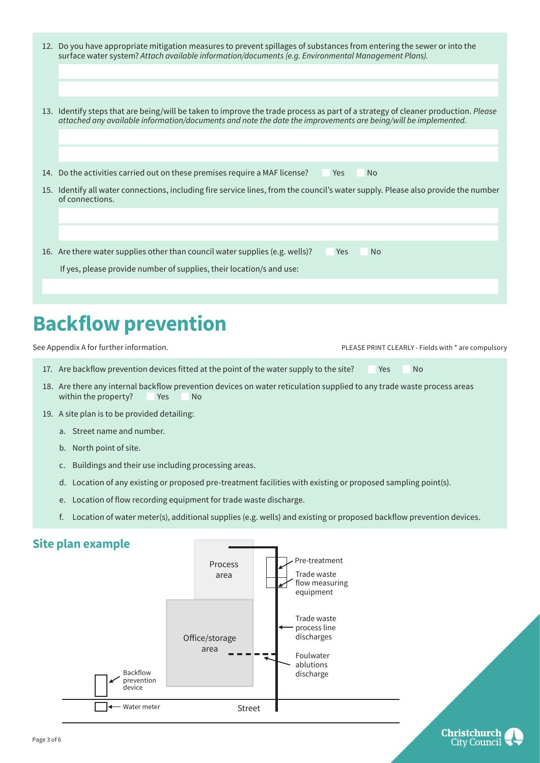| 12. Do you have appropriate mitigation measures to prevent spillages of substances from entering the sewer or into the |
|------------------------------------------------------------------------------------------------------------------------|
| surface water system? Attach available information/documents (e.g. Environmental Management Plans).                    |

- 13. Identify steps that are being/will be taken to improve the trade process as part of a strategy of cleaner production. *Please attached any available information/documents and note the date the improvements are being/will be implemented.*
- 14. Do the activities carried out on these premises require a MAF license? Yes No
- 15. Identify all water connections, including fire service lines, from the council's water supply. Please also provide the number of connections.

16. Are there water supplies other than council water supplies (e.g. wells)? Yes No

If yes, please provide number of supplies, their location/s and use:

### **Backflow prevention**

See Appendix A for further information. The state of the state of the state PRINT CLEARLY - Fields with \* are compulsory

- 17. Are backflow prevention devices fitted at the point of the water supply to the site? Yes No
- 18. Are there any internal backflow prevention devices on water reticulation supplied to any trade waste process areas within the property? Yes No
- 19. A site plan is to be provided detailing:
	- a. Street name and number.
	- b. North point of site.
	- c. Buildings and their use including processing areas.
	- d. Location of any existing or proposed pre-treatment facilities with existing or proposed sampling point(s).
	- e. Location of flow recording equipment for trade waste discharge.
	- f. Location of water meter(s), additional supplies (e.g. wells) and existing or proposed backflow prevention devices.

#### **Site plan example**

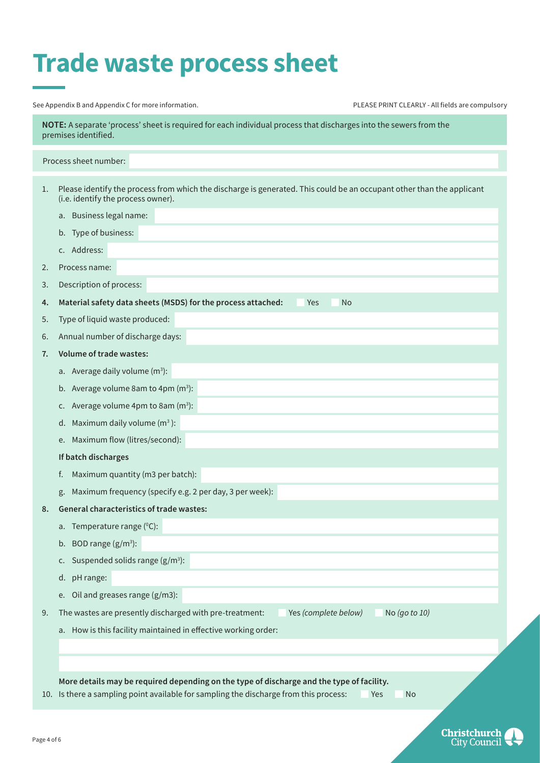### **Trade waste process sheet**

|    | See Appendix B and Appendix C for more information.<br>PLEASE PRINT CLEARLY - All fields are compulsory                                                                                         |
|----|-------------------------------------------------------------------------------------------------------------------------------------------------------------------------------------------------|
|    | NOTE: A separate 'process' sheet is required for each individual process that discharges into the sewers from the<br>premises identified.                                                       |
|    | Process sheet number:                                                                                                                                                                           |
| 1. | Please identify the process from which the discharge is generated. This could be an occupant other than the applicant<br>(i.e. identify the process owner).                                     |
|    | a. Business legal name:                                                                                                                                                                         |
|    | b. Type of business:                                                                                                                                                                            |
|    | c. Address:                                                                                                                                                                                     |
| 2. | Process name:                                                                                                                                                                                   |
| 3. | Description of process:                                                                                                                                                                         |
| 4. | Material safety data sheets (MSDS) for the process attached:<br><b>No</b><br><b>Yes</b>                                                                                                         |
| 5. | Type of liquid waste produced:                                                                                                                                                                  |
| 6. | Annual number of discharge days:                                                                                                                                                                |
| 7. | Volume of trade wastes:                                                                                                                                                                         |
|    | a. Average daily volume $(m^3)$ :                                                                                                                                                               |
|    | b. Average volume 8am to 4pm $(m^3)$ :                                                                                                                                                          |
|    | Average volume 4pm to 8am $(m^3)$ :<br>C.                                                                                                                                                       |
|    | d. Maximum daily volume $(m3)$ :                                                                                                                                                                |
|    | e. Maximum flow (litres/second):                                                                                                                                                                |
|    | If batch discharges                                                                                                                                                                             |
|    | Maximum quantity (m3 per batch):<br>f.                                                                                                                                                          |
|    | Maximum frequency (specify e.g. 2 per day, 3 per week):<br>g.                                                                                                                                   |
| 8. | <b>General characteristics of trade wastes:</b>                                                                                                                                                 |
|    | a. Temperature range $(^{\circ}C)$ :                                                                                                                                                            |
|    | b. BOD range $(g/m^3)$ :                                                                                                                                                                        |
|    | Suspended solids range $(g/m^3)$ :<br>c.                                                                                                                                                        |
|    | d. pH range:                                                                                                                                                                                    |
|    | Oil and greases range (g/m3):<br>e.                                                                                                                                                             |
| 9. | The wastes are presently discharged with pre-treatment:<br>Yes (complete below)<br>No (go to 10)                                                                                                |
|    | a. How is this facility maintained in effective working order:                                                                                                                                  |
|    |                                                                                                                                                                                                 |
|    |                                                                                                                                                                                                 |
|    | More details may be required depending on the type of discharge and the type of facility.<br>10. Is there a sampling point available for sampling the discharge from this process:<br>Yes<br>No |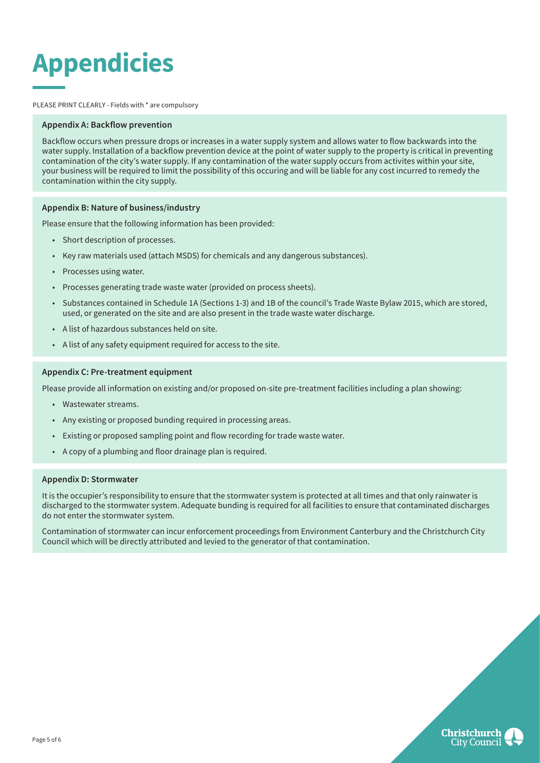# **Appendicies**

PLEASE PRINT CLEARLY - Fields with \* are compulsory

#### **Appendix A: Backflow prevention**

Backflow occurs when pressure drops or increases in a water supply system and allows water to flow backwards into the water supply. Installation of a backflow prevention device at the point of water supply to the property is critical in preventing contamination of the city's water supply. If any contamination of the water supply occurs from activites within your site, your business will be required to limit the possibility of this occuring and will be liable for any cost incurred to remedy the contamination within the city supply.

#### **Appendix B: Nature of business/industry**

Please ensure that the following information has been provided:

- Short description of processes.
- Key raw materials used (attach MSDS) for chemicals and any dangerous substances).
- Processes using water.
- Processes generating trade waste water (provided on process sheets).
- Substances contained in Schedule 1A (Sections 1-3) and 1B of the council's Trade Waste Bylaw 2015, which are stored, used, or generated on the site and are also present in the trade waste water discharge.
- A list of hazardous substances held on site.
- A list of any safety equipment required for access to the site.

#### **Appendix C: Pre-treatment equipment**

Please provide all information on existing and/or proposed on-site pre-treatment facilities including a plan showing:

- Wastewater streams.
- Any existing or proposed bunding required in processing areas.
- Existing or proposed sampling point and flow recording for trade waste water.
- A copy of a plumbing and floor drainage plan is required.

#### **Appendix D: Stormwater**

It is the occupier's responsibility to ensure that the stormwater system is protected at all times and that only rainwater is discharged to the stormwater system. Adequate bunding is required for all facilities to ensure that contaminated discharges do not enter the stormwater system.

Contamination of stormwater can incur enforcement proceedings from Environment Canterbury and the Christchurch City Council which will be directly attributed and levied to the generator of that contamination.